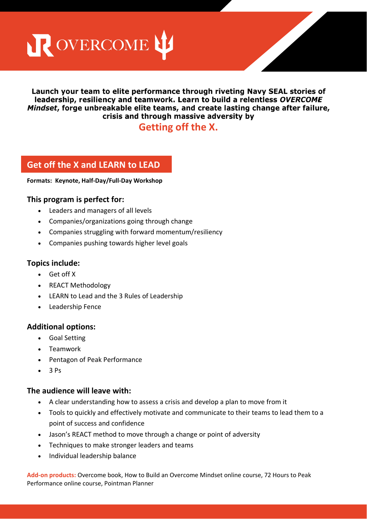R OVERCOME LE

## Launch your team to elite performance through riveting Navy SEAL stories of leadership, resiliency and teamwork. Learn to build a relentiess OVERCOME Mindset, forge unbreakable elite teams, and create lasting change after failure, crisis and through massive adversity by

# **Getting off the X.**

# **Get off the X and LEARN to LEAD**

#### **Formats: Keynote, Half-Day/Full-Day Workshop**

# **This program is perfect for:**

- Leaders and managers of all levels
- Companies/organizations going through change
- Companies struggling with forward momentum/resiliency
- Companies pushing towards higher level goals

# **Topics include:**

- Get off X
- REACT Methodology
- LEARN to Lead and the 3 Rules of Leadership
- Leadership Fence

# **Additional options:**

- Goal Setting
- Teamwork
- Pentagon of Peak Performance
- $\bullet$  3 Ps

# **The audience will leave with:**

- A clear understanding how to assess a crisis and develop a plan to move from it
- Tools to quickly and effectively motivate and communicate to their teams to lead them to a point of success and confidence
- Jason's REACT method to move through a change or point of adversity
- Techniques to make stronger leaders and teams
- Individual leadership balance

**Add-on products:** Overcome book, How to Build an Overcome Mindset online course, 72 Hours to Peak Performance online course, Pointman Planner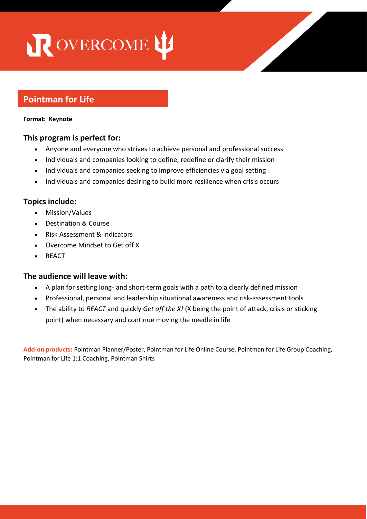# R OVERCOME LE

# **Pointman for Life**

#### **Format: Keynote**

# **This program is perfect for:**

- Anyone and everyone who strives to achieve personal and professional success
- Individuals and companies looking to define, redefine or clarify their mission
- Individuals and companies seeking to improve efficiencies via goal setting
- Individuals and companies desiring to build more resilience when crisis occurs

# **Topics include:**

- Mission/Values
- Destination & Course
- Risk Assessment & Indicators
- Overcome Mindset to Get off X
- REACT

# **The audience will leave with:**

 $\mathcal{L}_{\mathcal{A}}$  is a result of  $\mathcal{A}$  . The set of  $\mathcal{A}$ 

- A plan for setting long- and short-term goals with a path to a clearly defined mission
- Professional, personal and leadership situational awareness and risk-assessment tools
- The ability to *REACT* and quickly *Get off the X!* (X being the point of attack, crisis or sticking point) when necessary and continue moving the needle in life

**Add-on products:** Pointman Planner/Poster, Pointman for Life Online Course, Pointman for Life Group Coaching, Pointman for Life 1:1 Coaching, Pointman Shirts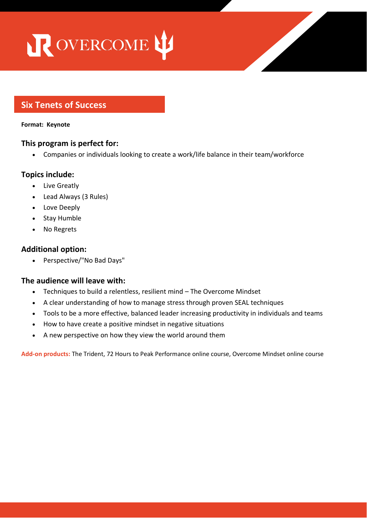# ROVERCOME L'

# **Six Tenets of Success**

#### **Format: Keynote**

# **This program is perfect for:**

• Companies or individuals looking to create a work/life balance in their team/workforce

# **Topics include:**

- Live Greatly
- Lead Always (3 Rules)
- Love Deeply
- Stay Humble
- No Regrets

# **Additional option:**

• Teamwork

• Perspective/"No Bad Days"

# **The audience will leave with:**

- Techniques to build a relentless, resilient mind The Overcome Mindset
- A clear understanding of how to manage stress through proven SEAL techniques
- Tools to be a more effective, balanced leader increasing productivity in individuals and teams
- How to have create a positive mindset in negative situations
- A new perspective on how they view the world around them

**Add-on products:** The Trident, 72 Hours to Peak Performance online course, Overcome Mindset online course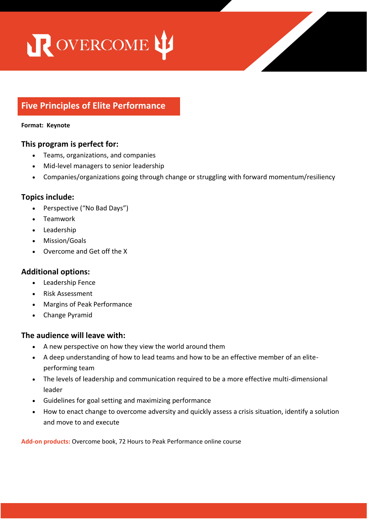# ROVERCOME LE

# **Five Principles of Elite Performance**

#### **Format: Keynote**

## **This program is perfect for:**

- Teams, organizations, and companies
- Mid-level managers to senior leadership
- Companies/organizations going through change or struggling with forward momentum/resiliency

## **Topics include:**

- Perspective ("No Bad Days")
- Teamwork
- Leadership
- Mission/Goals
- Overcome and Get off the X

#### **Additional options:**

- Leadership Fence
- Risk Assessment
- Margins of Peak Performance
- Change Pyramid

**This program is perfect for:**

#### **The audience will leave with:**

- A new perspective on how they view the world around them
- A deep understanding of how to lead teams and how to be an effective member of an eliteperforming team
- The levels of leadership and communication required to be a more effective multi-dimensional leader
- Guidelines for goal setting and maximizing performance
- How to enact change to overcome adversity and quickly assess a crisis situation, identify a solution and move to and execute

**Add-on products:** Overcome book, 72 Hours to Peak Performance online course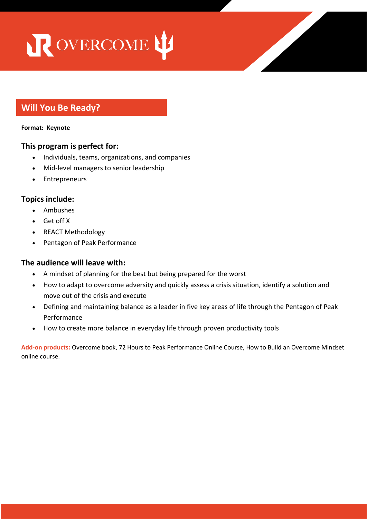# ROVERCOME LE

# **Will You Be Ready?**

#### **Format: Keynote**

## **This program is perfect for:**

- Individuals, teams, organizations, and companies
- Mid-level managers to senior leadership
- Entrepreneurs

# **Topics include:**

- Ambushes
- Get off X
- REACT Methodology
- Pentagon of Peak Performance

# **The audience will leave with:**

- A mindset of planning for the best but being prepared for the worst
- How to adapt to overcome adversity and quickly assess a crisis situation, identify a solution and move out of the crisis and execute
- Defining and maintaining balance as a leader in five key areas of life through the Pentagon of Peak Performance
- How to create more balance in everyday life through proven productivity tools

**Add-on products:** Overcome book, 72 Hours to Peak Performance Online Course, How to Build an Overcome Mindset online course.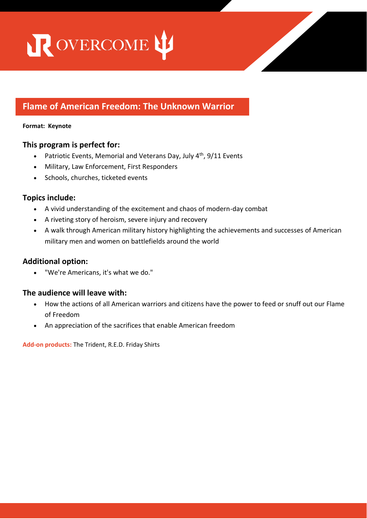ROVERCOME L'

# **Flame of American Freedom: The Unknown Warrior**

#### **Format: Keynote**

# **This program is perfect for:**

- Patriotic Events, Memorial and Veterans Day, July 4<sup>th</sup>, 9/11 Events
- Military, Law Enforcement, First Responders
- Schools, churches, ticketed events

# **Topics include:**

- A vivid understanding of the excitement and chaos of modern-day combat
- A riveting story of heroism, severe injury and recovery
- A walk through American military history highlighting the achievements and successes of American military men and women on battlefields around the world

# **Additional option:**

• "We're Americans, it's what we do."

# **The audience will leave with:**

- How the actions of all American warriors and citizens have the power to feed or snuff out our Flame of Freedom
- An appreciation of the sacrifices that enable American freedom

 $\mathcal{A}^{\mathcal{A}}_{\mathcal{A}}$  and  $\mathcal{A}^{\mathcal{A}}_{\mathcal{A}}$  and  $\mathcal{A}^{\mathcal{A}}_{\mathcal{A}}$  and  $\mathcal{A}^{\mathcal{A}}_{\mathcal{A}}$  and  $\mathcal{A}^{\mathcal{A}}_{\mathcal{A}}$ 

**Add-on products:** The Trident, R.E.D. Friday Shirts